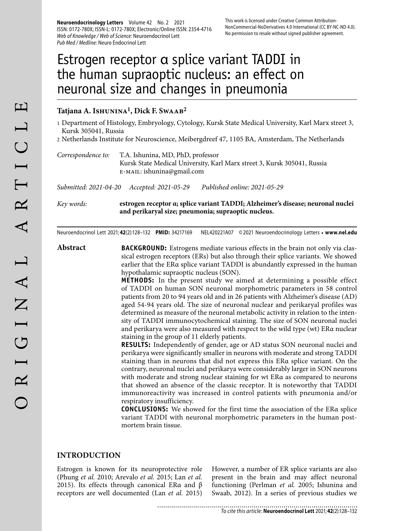**Neuroendocrinology Letters** Volume 42 No. 2 2021 ISSN: 0172-780X; ISSN-L: 0172-780X; Electronic/Online ISSN: 2354-4716 Web of Knowledge / Web of Science: Neuroendocrinol Lett Pub Med / Medline: Neuro Endocrinol Lett

# Estrogen receptor α splice variant TADDI in the human supraoptic nucleus: an effect on neuronal size and changes in pneumonia

# **Tatjana A. Ishunina1, Dick F. Swaab2**

- 1 Department of Histology, Embryology, Cytology, Kursk State Medical University, Karl Marx street 3, Kursk 305041, Russia
- 2 Netherlands Institute for Neuroscience, Meibergdreef 47, 1105 BA, Amsterdam, The Netherlands
- *Correspondence to:* T.A. Ishunina, MD, PhD, professor Kursk State Medical University, Karl Marx street 3, Kursk 305041, Russia e-mail: ishunina@gmail.com

*Submitted: 2021-04-20 Accepted: 2021-05-29 Published online: 2021-05-29*

*Key words:* **estrogen receptor α; splice variant TADDI; Alzheimer's disease; neuronal nuclei and perikaryal size; pneumonia; supraoptic nucleus.** 

Neuroendocrinol Lett 2021; **42**(2):128–132 **PMID:** 34217169 NEL420221A07 © 2021 Neuroendocrinology Letters • **www.nel.edu**

**Abstract BACKGROUND:** Estrogens mediate various effects in the brain not only via classical estrogen receptors (ERs) but also through their splice variants. We showed earlier that the ERα splice variant TADDI is abundantly expressed in the human hypothalamic supraoptic nucleus (SON).

> **METHODS:** In the present study we aimed at determining a possible effect of TADDI on human SON neuronal morphometric parameters in 58 control patients from 20 to 94 years old and in 26 patients with Alzheimer's disease (AD) aged 54-94 years old. The size of neuronal nuclear and perikaryal profiles was determined as measure of the neuronal metabolic activity in relation to the intensity of TADDI immunocytochemical staining. The size of SON neuronal nuclei and perikarya were also measured with respect to the wild type (wt) ERα nuclear staining in the group of 11 elderly patients.

> **RESULTS:** Independently of gender, age or AD status SON neuronal nuclei and perikarya were significantly smaller in neurons with moderate and strong TADDI staining than in neurons that did not express this ERα splice variant. On the contrary, neuronal nuclei and perikarya were considerably larger in SON neurons with moderate and strong nuclear staining for wt ERα as compared to neurons that showed an absence of the classic receptor. It is noteworthy that TADDI immunoreactivity was increased in control patients with pneumonia and/or respiratory insufficiency.

> **CONCLUSIONS:** We showed for the first time the association of the ERα splice variant TADDI with neuronal morphometric parameters in the human postmortem brain tissue.

#### **INTRODUCTION**

Estrogen is known for its neuroprotective role (Phung *et al.* 2010; Arevalo *et al.* 2015; Lan *et al.* 2015). Its effects through canonical ERα and β receptors are well documented (Lan *et al.* 2015)

However, a number of ER splice variants are also present in the brain and may affect neuronal functioning (Perlman *et al.* 2005; Ishunina and Swaab, 2012). In a series of previous studies we

............................ To cite this article: **Neuroendocrinol Lett** 2021; **42**(2):128–132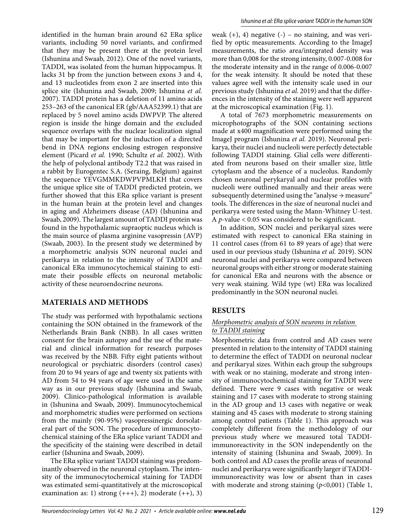identified in the human brain around 62 ERα splice variants, including 50 novel variants, and confirmed that they may be present there at the protein level (Ishunina and Swaab, 2012). One of the novel variants, TADDI, was isolated from the human hippocampus. It lacks 31 bp from the junction between exons 3 and 4, and 13 nucleotides from exon 2 are inserted into this splice site (Ishunina and Swaab, 2009; Ishunina *et al.* 2007). TADDI protein has a deletion of 11 amino acids 253–263 of the canonical ER (gb/AAA52399.1) that are replaced by 5 novel amino acids DWPVP. The altered region is inside the hinge domain and the excluded sequence overlaps with the nuclear localization signal that may be important for the induction of a directed bend in DNA regions enclosing estrogen responsive element (Picard *et al.* 1990; Schultz *et al.* 2002). With the help of polyclonal antibody T2.2 that was raised in a rabbit by Eurogentec S.A. (Seraing, Belgium) against the sequence YEVGMMKDWPVPMLKH that covers the unique splice site of TADDI predicted protein, we further showed that this ERα splice variant is present in the human brain at the protein level and changes in aging and Alzheimers disease (AD) (Ishunina and Swaab, 2009). The largest amount of TADDI protein was found in the hypothalamic supraoptic nucleus which is the main source of plasma arginine vasopressin (AVP) (Swaab, 2003). In the present study we determined by a morphometric analysis SON neuronal nuclei and perikarya in relation to the intensity of TADDI and canonical ERα immunocytochemical staining to estimate their possible effects on neuronal metabolic activity of these neuroendocrine neurons.

# **MATERIALS AND METHODS**

The study was performed with hypothalamic sections containing the SON obtained in the framework of the Netherlands Brain Bank (NBB). In all cases written consent for the brain autopsy and the use of the material and clinical information for research purposes was received by the NBB. Fifty eight patients without neurological or psychiatric disorders (control cases) from 20 to 94 years of age and twenty six patients with AD from 54 to 94 years of age were used in the same way as in our previous study (Ishunina and Swaab, 2009). Clinico-pathological information is available in (Ishunina and Swaab, 2009). Immunocytochemical and morphometric studies were performed on sections from the mainly (90-95%) vasopressinergic dorsolateral part of the SON. The procedure of immunocytochemical staining of the ERα splice variant TADDI and the specificity of the staining were described in detail earlier (Ishunina and Swaab, 2009).

The ERα splice variant TADDI staining was predominantly observed in the neuronal cytoplasm. The intensity of the immunocytochemical staining for TADDI was estimated semi-quantitatively at the microscopical examination as: 1) strong  $(++), 2$  moderate  $(+), 3$  weak  $(+)$ , 4) negative  $(-)$  – no staining, and was verified by optic measurements. According to the ImageJ measurements, the ratio area/integrated density was more than 0,008 for the strong intensity, 0.007-0.008 for the moderate intensity and in the range of 0.006-0.007 for the weak intensity. It should be noted that these values agree well with the intensity scale used in our previous study (Ishunina *et al.* 2019) and that the differences in the intensity of the staining were well apparent at the microscopical examination (Fig. 1).

A total of 7673 morphometric measurements on microphotographs of the SON containing sections made at x400 magnification were performed using the ImageJ program (Ishunina *et al.* 2019). Neuronal perikarya, their nuclei and nucleoli were perfectly detectable following TADDI staining. Glial cells were differentiated from neurons based on their smaller size, little cytoplasm and the absence of a nucleolus. Randomly chosen neuronal perykaryal and nuclear profiles with nucleoli were outlined manually and their areas were subsequently determined using the "analyse  $\rightarrow$  measure" tools. The differences in the size of neuronal nuclei and perikarya were tested using the Mann-Whitney U-test. A *p*-value < 0.05 was considered to be significant.

In addition, SON nuclei and perikaryal sizes were estimated with respect to canonical ERα staining in 11 control cases (from 61 to 89 years of age) that were used in our previous study (Ishunina *et al.* 2019). SON neuronal nuclei and perikarya were compared between neuronal groups with either strong or moderate staining for canonical ERα and neurons with the absence or very weak staining. Wild type (wt) ERα was localized predominantly in the SON neuronal nuclei.

# **RESULTS**

#### *Morphometric analysis of SON neurons in relation to TADDI staining*

Morphometric data from control and AD cases were presented in relation to the intensity of TADDI staining to determine the effect of TADDI on neuronal nuclear and perikaryal sizes. Within each group the subgroups with weak or no staining, moderate and strong intensity of immunocytochemical staining for TADDI were defined. There were 9 cases with negative or weak staining and 17 cases with moderate to strong staining in the AD group and 13 cases with negative or weak staining and 45 cases with moderate to strong staining among control patients (Table 1). This approach was completely different from the methodology of our previous study where we measured total TADDIimmunoreactivity in the SON independently on the intensity of staining (Ishunina and Swaab, 2009). In both control and AD cases the profile areas of neuronal nuclei and perikarya were significantly larger if TADDIimmunoreactivity was low or absent than in cases with moderate and strong staining (*p*<0,001) (Table 1,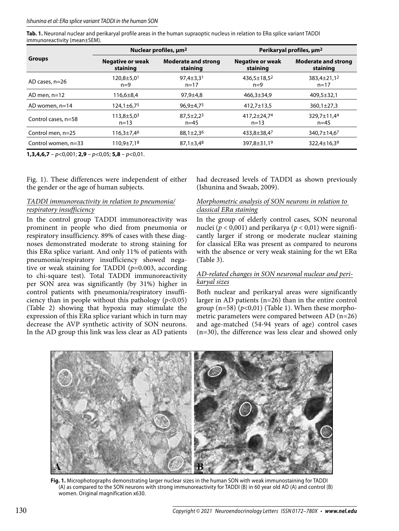Tab. 1. Neuronal nuclear and perikaryal profile areas in the human supraoptic nucleus in relation to ERa splice variant TADDI immunoreactivity (mean±SEM).

| <b>Groups</b>       | Nuclear profiles, $\mu m^2$           |                                        | Perikaryal profiles, $\mu$ m <sup>2</sup> |                                        |
|---------------------|---------------------------------------|----------------------------------------|-------------------------------------------|----------------------------------------|
|                     | Negative or weak<br>staining          | <b>Moderate and strong</b><br>staining | <b>Negative or weak</b><br>staining       | <b>Moderate and strong</b><br>staining |
| AD cases, $n=26$    | $120,8 \pm 5,0$ <sup>1</sup><br>$n=9$ | $97.4 \pm 3.31$<br>$n = 17$            | $436.5 \pm 18.5^2$<br>$n=9$               | 383,4±21,1 <sup>2</sup><br>$n = 17$    |
| AD men. $n=12$      | $116,6 \pm 8,4$                       | $97.9 \pm 4.8$                         | $466.3 \pm 34.9$                          | $409.5 \pm 32.1$                       |
| AD women, $n=14$    | $124,1 \pm 6,7$ <sup>5</sup>          | $96,9{\pm}4,75$                        | $412,7 \pm 13,5$                          | $360,1 \pm 27,3$                       |
| Control cases, n=58 | $113,8 + 5,0^3$<br>$n = 13$           | $87.5 \pm 2.2^3$<br>$n = 45$           | $417.2 \pm 24.74$<br>$n = 13$             | 329.7±11.4 <sup>4</sup><br>$n = 45$    |
| Control men, n=25   | $116,3 \pm 7,4^6$                     | $88,1 \pm 2,3^6$                       | $433,8 \pm 38,4^7$                        | 340.7 $\pm$ 14.6 <sup>7</sup>          |
| Control women, n=33 | $110.9 \pm 7.18$                      | $87,1 \pm 3,4^8$                       | $397,8 \pm 31,19$                         | $322,4 \pm 16,39$                      |

**1,3,4,6,7** – p<0,001; **2,9** – p<0,05; **5,8** – p<0,01.

Fig. 1). These differences were independent of either the gender or the age of human subjects.

#### *TADDI immunoreactivity in relation to pneumonia/ respiratory insufficiency*

In the control group TADDI immunoreactivity was prominent in people who died from pneumonia or respiratory insufficiency. 89% of cases with these diagnoses demonstrated moderate to strong staining for this ERα splice variant. And only 11% of patients with pneumonia/respiratory insufficiency showed negative or weak staining for TADDI (*p*=0.003, according to chi-square test). Total TADDI immunoreactivity per SON area was significantly (by 31%) higher in control patients with pneumonia/respiratory insufficiency than in people without this pathology  $(p<0.05)$ (Table 2) showing that hypoxia may stimulate the expression of this ERα splice variant which in turn may decrease the AVP synthetic activity of SON neurons. In the AD group this link was less clear as AD patients

had decreased levels of TADDI as shown previously (Ishunina and Swaab, 2009).

#### *Morphometric analysis of SON neurons in relation to classical ERα staining*

In the group of elderly control cases, SON neuronal nuclei ( $p < 0.001$ ) and perikarya ( $p < 0.01$ ) were significantly larger if strong or moderate nuclear staining for classical ERα was present as compared to neurons with the absence or very weak staining for the wt ERα (Table 3).

### *AD-related changes in SON neuronal nuclear and perikaryal sizes*

Both nuclear and perikaryal areas were significantly larger in AD patients (n=26) than in the entire control group  $(n=58)$   $(p<0,01)$  (Table 1). When these morphometric parameters were compared between AD (n=26) and age-matched (54-94 years of age) control cases (n=30), the difference was less clear and showed only



**Fig. 1.** Microphotographs demonstrating larger nuclear sizes in the human SON with weak immunostaining for TADDI (A) as compared to the SON neurons with strong immunoreactivity for TADDI (B) in 60 year old AD (A) and control (B) women. Original magnification x630.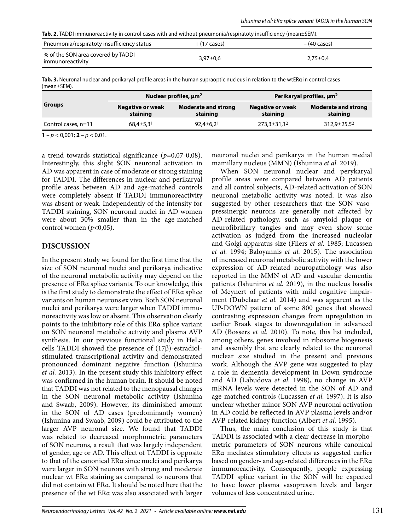| <b>Tab. 2.</b> TADDI immunoreactivity in control cases with and without pneumonia/respiratoty insufficiency (mean±SEM). |  |  |
|-------------------------------------------------------------------------------------------------------------------------|--|--|
|-------------------------------------------------------------------------------------------------------------------------|--|--|

| Pneumonia/respiratoty insufficiency status             | $+$ (17 cases) | – (40 cases)   |
|--------------------------------------------------------|----------------|----------------|
| % of the SON area covered by TADDI<br>immunoreactivity | $3.97 \pm 0.6$ | $2.75 \pm 0.4$ |

**Tab. 3.** Neuronal nuclear and perikaryal profile areas in the human supraoptic nucleus in relation to the wtERα in control cases (mean±SEM).

| <b>Groups</b>                               | Nuclear profiles, $\mu m^2$         |                                        | Perikaryal profiles, $\mu$ m <sup>2</sup> |                                        |
|---------------------------------------------|-------------------------------------|----------------------------------------|-------------------------------------------|----------------------------------------|
|                                             | <b>Negative or weak</b><br>staining | <b>Moderate and strong</b><br>staining | <b>Negative or weak</b><br>staining       | <b>Moderate and strong</b><br>staining |
| Control cases, n=11                         | $68,4 \pm 5,3$ <sup>1</sup>         | $92.4 \pm 6.2^1$                       | $273,3 \pm 31,1^2$                        | $312,9 \pm 25,5^2$                     |
| $\sim$ $\sim$ $\sim$ $\sim$ $\sim$<br>- - - |                                     |                                        |                                           |                                        |

**1** –  $p$  < 0,001; **2** –  $p$  < 0,01.

a trend towards statistical significance (*p*=0,07-0,08). Interestingly, this slight SON neuronal activation in AD was apparent in case of moderate or strong staining for TADDI. The differences in nuclear and perikaryal profile areas between AD and age-matched controls were completely absent if TADDI immunoreactivity was absent or weak. Independently of the intensity for TADDI staining, SON neuronal nuclei in AD women were about 30% smaller than in the age-matched control women  $(p<0.05)$ .

#### **DISCUSSION**

In the present study we found for the first time that the size of SON neuronal nuclei and perikarya indicative of the neuronal metabolic activity may depend on the presence of ERα splice variants. To our knowledge, this is the first study to demonstrate the effect of ERα splice variants on human neurons ex vivo. Both SON neuronal nuclei and perikarya were larger when TADDI immunoreactivity was low or absent. This observation clearly points to the inhibitory role of this ERα splice variant on SON neuronal metabolic activity and plasma AVP synthesis. In our previous functional study in HeLa cells TADDI showed the presence of  $(17\beta)$ -estradiolstimulated transcriptional activity and demonstrated pronounced dominant negative function (Ishunina *et al.* 2013). In the present study this inhibitory effect was confirmed in the human brain. It should be noted that TADDI was not related to the menopausal changes in the SON neuronal metabolic activity (Ishunina and Swaab, 2009). However, its diminished amount in the SON of AD cases (predominantly women) (Ishunina and Swaab, 2009) could be attributed to the larger AVP neuronal size. We found that TADDI was related to decreased morphometric parameters of SON neurons, a result that was largely independent of gender, age or AD. This effect of TADDI is opposite to that of the canonical ERα since nuclei and perikarya were larger in SON neurons with strong and moderate nuclear wt ERα staining as compared to neurons that did not contain wt ERα. It should be noted here that the presence of the wt ERα was also associated with larger

neuronal nuclei and perikarya in the human medial mamillary nucleus (MMN) (Ishunina *et al.* 2019).

When SON neuronal nuclear and perykaryal profile areas were compared between AD patients and all control subjects, AD-related activation of SON neuronal metabolic activity was noted. It was also suggested by other researchers that the SON vasopressinergic neurons are generally not affected by AD-related pathology, such as amyloid plaque or neurofibrillary tangles and may even show some activation as judged from the increased nucleolar and Golgi apparatus size (Fliers *et al.* 1985; Lucassen *et al.* 1994; Baloyannis *et al.* 2015). The association of increased neuronal metabolic activity with the lower expression of AD-related neuropathology was also reported in the MMN of AD and vascular dementia patients (Ishunina *et al.* 2019), in the nucleus basalis of Meynert of patients with mild cognitive impairment (Dubelaar *et al.* 2014) and was apparent as the UP-DOWN pattern of some 800 genes that showed contrasting expression changes from upregulation in earlier Braak stages to downregulation in advanced AD (Bossers *et al.* 2010). To note, this list included, among others, genes involved in ribosome biogenesis and assembly that are clearly related to the neuronal nuclear size studied in the present and previous work. Although the AVP gene was suggested to play a role in dementia development in Down syndrome and AD (Labudova *et al.* 1998), no change in AVP mRNA levels were detected in the SON of AD and age-matched controls (Lucassen *et al.* 1997). It is also unclear whether minor SON AVP neuronal activation in AD could be reflected in AVP plasma levels and/or AVP-related kidney function (Albert *et al.* 1995).

Thus, the main conclusion of this study is that TADDI is associated with a clear decrease in morphometric parameters of SON neurons while canonical ERα mediates stimulatory effects as suggested earlier based on gender- and age-related differences in the ERα immunoreactivity. Consequently, people expressing TADDI splice variant in the SON will be expected to have lower plasma vasopressin levels and larger volumes of less concentrated urine.